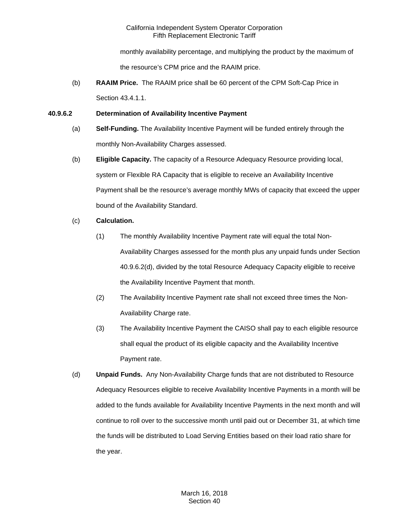monthly availability percentage, and multiplying the product by the maximum of the resource's CPM price and the RAAIM price.

(b) **RAAIM Price.** The RAAIM price shall be 60 percent of the CPM Soft-Cap Price in Section 43.4.1.1.

## **40.9.6.2 Determination of Availability Incentive Payment**

- (a) **Self-Funding.** The Availability Incentive Payment will be funded entirely through the monthly Non-Availability Charges assessed.
- (b) **Eligible Capacity.** The capacity of a Resource Adequacy Resource providing local, system or Flexible RA Capacity that is eligible to receive an Availability Incentive Payment shall be the resource's average monthly MWs of capacity that exceed the upper bound of the Availability Standard.

# (c) **Calculation.**

- (1) The monthly Availability Incentive Payment rate will equal the total Non-Availability Charges assessed for the month plus any unpaid funds under Section 40.9.6.2(d), divided by the total Resource Adequacy Capacity eligible to receive the Availability Incentive Payment that month.
- (2) The Availability Incentive Payment rate shall not exceed three times the Non-Availability Charge rate.
- (3) The Availability Incentive Payment the CAISO shall pay to each eligible resource shall equal the product of its eligible capacity and the Availability Incentive Payment rate.
- (d) **Unpaid Funds.** Any Non-Availability Charge funds that are not distributed to Resource Adequacy Resources eligible to receive Availability Incentive Payments in a month will be added to the funds available for Availability Incentive Payments in the next month and will continue to roll over to the successive month until paid out or December 31, at which time the funds will be distributed to Load Serving Entities based on their load ratio share for the year.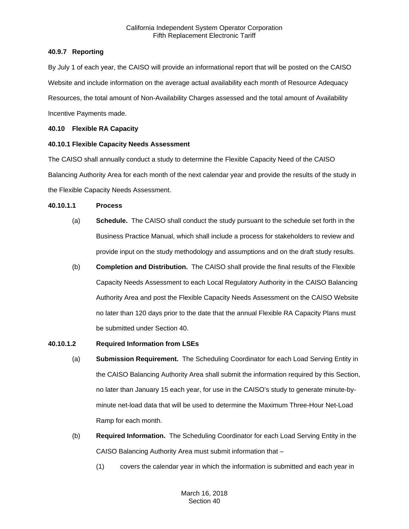## **40.9.7 Reporting**

By July 1 of each year, the CAISO will provide an informational report that will be posted on the CAISO Website and include information on the average actual availability each month of Resource Adequacy Resources, the total amount of Non-Availability Charges assessed and the total amount of Availability Incentive Payments made.

## **40.10 Flexible RA Capacity**

## **40.10.1 Flexible Capacity Needs Assessment**

The CAISO shall annually conduct a study to determine the Flexible Capacity Need of the CAISO Balancing Authority Area for each month of the next calendar year and provide the results of the study in the Flexible Capacity Needs Assessment.

## **40.10.1.1 Process**

- (a) **Schedule.** The CAISO shall conduct the study pursuant to the schedule set forth in the Business Practice Manual, which shall include a process for stakeholders to review and provide input on the study methodology and assumptions and on the draft study results.
- (b) **Completion and Distribution.** The CAISO shall provide the final results of the Flexible Capacity Needs Assessment to each Local Regulatory Authority in the CAISO Balancing Authority Area and post the Flexible Capacity Needs Assessment on the CAISO Website no later than 120 days prior to the date that the annual Flexible RA Capacity Plans must be submitted under Section 40.

## **40.10.1.2 Required Information from LSEs**

- (a) **Submission Requirement.** The Scheduling Coordinator for each Load Serving Entity in the CAISO Balancing Authority Area shall submit the information required by this Section, no later than January 15 each year, for use in the CAISO's study to generate minute-byminute net-load data that will be used to determine the Maximum Three-Hour Net-Load Ramp for each month.
- (b) **Required Information.** The Scheduling Coordinator for each Load Serving Entity in the CAISO Balancing Authority Area must submit information that –
	- (1) covers the calendar year in which the information is submitted and each year in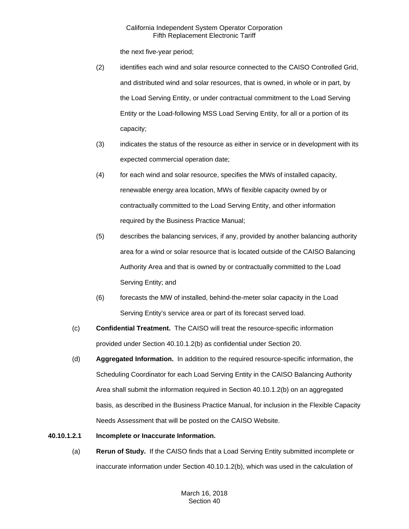the next five-year period;

- (2) identifies each wind and solar resource connected to the CAISO Controlled Grid, and distributed wind and solar resources, that is owned, in whole or in part, by the Load Serving Entity, or under contractual commitment to the Load Serving Entity or the Load-following MSS Load Serving Entity, for all or a portion of its capacity;
- (3) indicates the status of the resource as either in service or in development with its expected commercial operation date;
- (4) for each wind and solar resource, specifies the MWs of installed capacity, renewable energy area location, MWs of flexible capacity owned by or contractually committed to the Load Serving Entity, and other information required by the Business Practice Manual;
- (5) describes the balancing services, if any, provided by another balancing authority area for a wind or solar resource that is located outside of the CAISO Balancing Authority Area and that is owned by or contractually committed to the Load Serving Entity; and
- (6) forecasts the MW of installed, behind-the-meter solar capacity in the Load Serving Entity's service area or part of its forecast served load.
- (c) **Confidential Treatment.** The CAISO will treat the resource-specific information provided under Section 40.10.1.2(b) as confidential under Section 20.
- (d) **Aggregated Information.** In addition to the required resource-specific information, the Scheduling Coordinator for each Load Serving Entity in the CAISO Balancing Authority Area shall submit the information required in Section 40.10.1.2(b) on an aggregated basis, as described in the Business Practice Manual, for inclusion in the Flexible Capacity Needs Assessment that will be posted on the CAISO Website.

## **40.10.1.2.1 Incomplete or Inaccurate Information.**

(a) **Rerun of Study.** If the CAISO finds that a Load Serving Entity submitted incomplete or inaccurate information under Section 40.10.1.2(b), which was used in the calculation of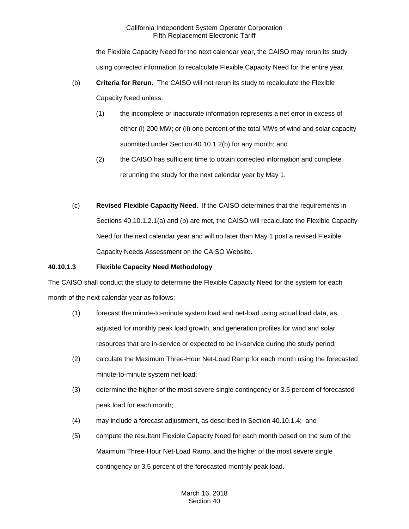the Flexible Capacity Need for the next calendar year, the CAISO may rerun its study using corrected information to recalculate Flexible Capacity Need for the entire year.

- (b) **Criteria for Rerun.** The CAISO will not rerun its study to recalculate the Flexible Capacity Need unless:
	- (1) the incomplete or inaccurate information represents a net error in excess of either (i) 200 MW; or (ii) one percent of the total MWs of wind and solar capacity submitted under Section 40.10.1.2(b) for any month; and
	- (2) the CAISO has sufficient time to obtain corrected information and complete rerunning the study for the next calendar year by May 1.
- (c) **Revised Flexible Capacity Need.** If the CAISO determines that the requirements in Sections 40.10.1.2.1(a) and (b) are met, the CAISO will recalculate the Flexible Capacity Need for the next calendar year and will no later than May 1 post a revised Flexible Capacity Needs Assessment on the CAISO Website.

## **40.10.1.3 Flexible Capacity Need Methodology**

The CAISO shall conduct the study to determine the Flexible Capacity Need for the system for each month of the next calendar year as follows:

- (1) forecast the minute-to-minute system load and net-load using actual load data, as adjusted for monthly peak load growth, and generation profiles for wind and solar resources that are in-service or expected to be in-service during the study period;
- (2) calculate the Maximum Three-Hour Net-Load Ramp for each month using the forecasted minute-to-minute system net-load;
- (3) determine the higher of the most severe single contingency or 3.5 percent of forecasted peak load for each month;
- (4) may include a forecast adjustment, as described in Section 40.10.1.4; and
- (5) compute the resultant Flexible Capacity Need for each month based on the sum of the Maximum Three-Hour Net-Load Ramp, and the higher of the most severe single contingency or 3.5 percent of the forecasted monthly peak load.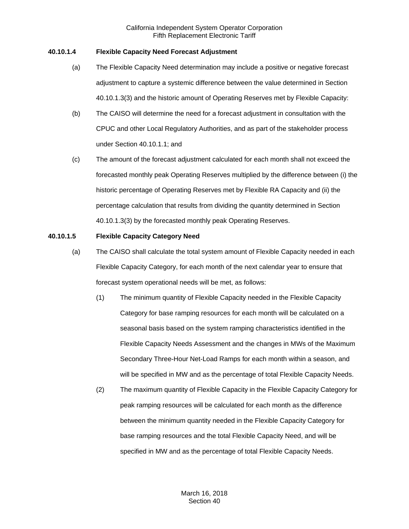## **40.10.1.4 Flexible Capacity Need Forecast Adjustment**

- (a) The Flexible Capacity Need determination may include a positive or negative forecast adjustment to capture a systemic difference between the value determined in Section 40.10.1.3(3) and the historic amount of Operating Reserves met by Flexible Capacity:
- (b) The CAISO will determine the need for a forecast adjustment in consultation with the CPUC and other Local Regulatory Authorities, and as part of the stakeholder process under Section 40.10.1.1; and
- (c) The amount of the forecast adjustment calculated for each month shall not exceed the forecasted monthly peak Operating Reserves multiplied by the difference between (i) the historic percentage of Operating Reserves met by Flexible RA Capacity and (ii) the percentage calculation that results from dividing the quantity determined in Section 40.10.1.3(3) by the forecasted monthly peak Operating Reserves.

#### **40.10.1.5 Flexible Capacity Category Need**

- (a) The CAISO shall calculate the total system amount of Flexible Capacity needed in each Flexible Capacity Category, for each month of the next calendar year to ensure that forecast system operational needs will be met, as follows:
	- (1) The minimum quantity of Flexible Capacity needed in the Flexible Capacity Category for base ramping resources for each month will be calculated on a seasonal basis based on the system ramping characteristics identified in the Flexible Capacity Needs Assessment and the changes in MWs of the Maximum Secondary Three-Hour Net-Load Ramps for each month within a season, and will be specified in MW and as the percentage of total Flexible Capacity Needs.
	- (2) The maximum quantity of Flexible Capacity in the Flexible Capacity Category for peak ramping resources will be calculated for each month as the difference between the minimum quantity needed in the Flexible Capacity Category for base ramping resources and the total Flexible Capacity Need, and will be specified in MW and as the percentage of total Flexible Capacity Needs.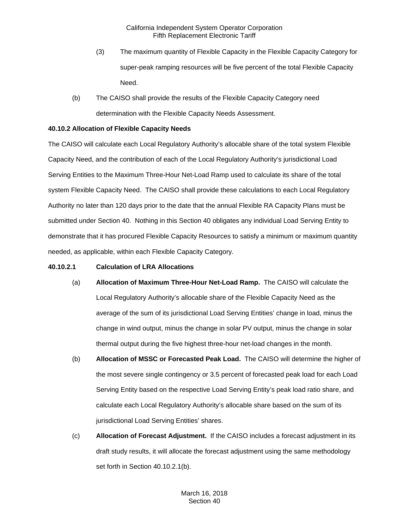- (3) The maximum quantity of Flexible Capacity in the Flexible Capacity Category for super-peak ramping resources will be five percent of the total Flexible Capacity Need.
- (b) The CAISO shall provide the results of the Flexible Capacity Category need determination with the Flexible Capacity Needs Assessment.

## **40.10.2 Allocation of Flexible Capacity Needs**

The CAISO will calculate each Local Regulatory Authority's allocable share of the total system Flexible Capacity Need, and the contribution of each of the Local Regulatory Authority's jurisdictional Load Serving Entities to the Maximum Three-Hour Net-Load Ramp used to calculate its share of the total system Flexible Capacity Need. The CAISO shall provide these calculations to each Local Regulatory Authority no later than 120 days prior to the date that the annual Flexible RA Capacity Plans must be submitted under Section 40. Nothing in this Section 40 obligates any individual Load Serving Entity to demonstrate that it has procured Flexible Capacity Resources to satisfy a minimum or maximum quantity needed, as applicable, within each Flexible Capacity Category.

## **40.10.2.1 Calculation of LRA Allocations**

- (a) **Allocation of Maximum Three-Hour Net-Load Ramp.** The CAISO will calculate the Local Regulatory Authority's allocable share of the Flexible Capacity Need as the average of the sum of its jurisdictional Load Serving Entities' change in load, minus the change in wind output, minus the change in solar PV output, minus the change in solar thermal output during the five highest three-hour net-load changes in the month.
- (b) **Allocation of MSSC or Forecasted Peak Load.** The CAISO will determine the higher of the most severe single contingency or 3.5 percent of forecasted peak load for each Load Serving Entity based on the respective Load Serving Entity's peak load ratio share, and calculate each Local Regulatory Authority's allocable share based on the sum of its jurisdictional Load Serving Entities' shares.
- (c) **Allocation of Forecast Adjustment.** If the CAISO includes a forecast adjustment in its draft study results, it will allocate the forecast adjustment using the same methodology set forth in Section 40.10.2.1(b).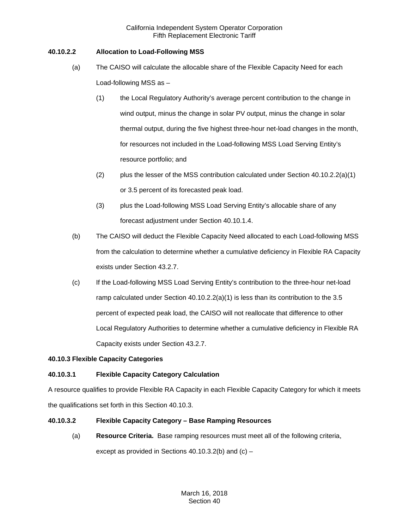## **40.10.2.2 Allocation to Load-Following MSS**

- (a) The CAISO will calculate the allocable share of the Flexible Capacity Need for each Load-following MSS as –
	- (1) the Local Regulatory Authority's average percent contribution to the change in wind output, minus the change in solar PV output, minus the change in solar thermal output, during the five highest three-hour net-load changes in the month, for resources not included in the Load-following MSS Load Serving Entity's resource portfolio; and
	- (2) plus the lesser of the MSS contribution calculated under Section  $40.10.2.2(a)(1)$ or 3.5 percent of its forecasted peak load.
	- (3) plus the Load-following MSS Load Serving Entity's allocable share of any forecast adjustment under Section 40.10.1.4.
- (b) The CAISO will deduct the Flexible Capacity Need allocated to each Load-following MSS from the calculation to determine whether a cumulative deficiency in Flexible RA Capacity exists under Section 43.2.7.
- (c) If the Load-following MSS Load Serving Entity's contribution to the three-hour net-load ramp calculated under Section 40.10.2.2(a)(1) is less than its contribution to the 3.5 percent of expected peak load, the CAISO will not reallocate that difference to other Local Regulatory Authorities to determine whether a cumulative deficiency in Flexible RA Capacity exists under Section 43.2.7.

# **40.10.3 Flexible Capacity Categories**

# **40.10.3.1 Flexible Capacity Category Calculation**

A resource qualifies to provide Flexible RA Capacity in each Flexible Capacity Category for which it meets the qualifications set forth in this Section 40.10.3.

## **40.10.3.2 Flexible Capacity Category – Base Ramping Resources**

(a) **Resource Criteria.** Base ramping resources must meet all of the following criteria, except as provided in Sections 40.10.3.2(b) and (c) –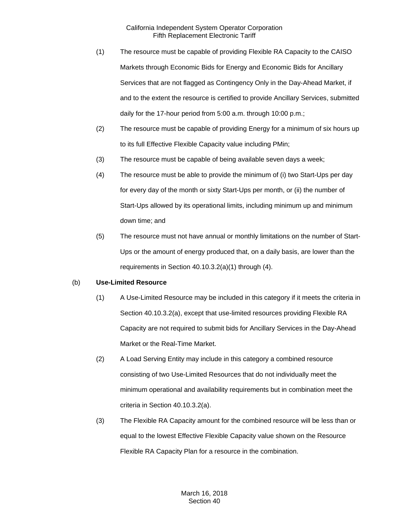- (1) The resource must be capable of providing Flexible RA Capacity to the CAISO Markets through Economic Bids for Energy and Economic Bids for Ancillary Services that are not flagged as Contingency Only in the Day-Ahead Market, if and to the extent the resource is certified to provide Ancillary Services, submitted daily for the 17-hour period from 5:00 a.m. through 10:00 p.m.;
- (2) The resource must be capable of providing Energy for a minimum of six hours up to its full Effective Flexible Capacity value including PMin;
- (3) The resource must be capable of being available seven days a week;
- (4) The resource must be able to provide the minimum of (i) two Start-Ups per day for every day of the month or sixty Start-Ups per month, or (ii) the number of Start-Ups allowed by its operational limits, including minimum up and minimum down time; and
- (5) The resource must not have annual or monthly limitations on the number of Start-Ups or the amount of energy produced that, on a daily basis, are lower than the requirements in Section 40.10.3.2(a)(1) through (4).

## (b) **Use-Limited Resource**

- (1) A Use-Limited Resource may be included in this category if it meets the criteria in Section 40.10.3.2(a), except that use-limited resources providing Flexible RA Capacity are not required to submit bids for Ancillary Services in the Day-Ahead Market or the Real-Time Market.
- (2) A Load Serving Entity may include in this category a combined resource consisting of two Use-Limited Resources that do not individually meet the minimum operational and availability requirements but in combination meet the criteria in Section 40.10.3.2(a).
- (3) The Flexible RA Capacity amount for the combined resource will be less than or equal to the lowest Effective Flexible Capacity value shown on the Resource Flexible RA Capacity Plan for a resource in the combination.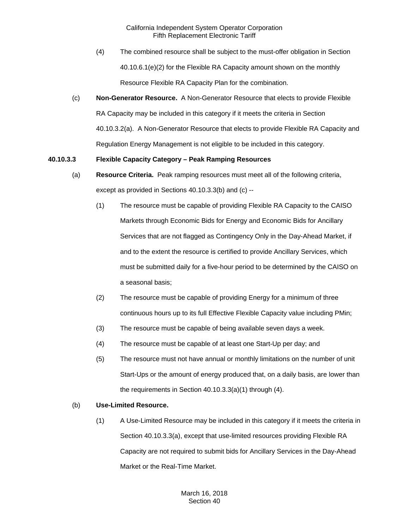- (4) The combined resource shall be subject to the must-offer obligation in Section 40.10.6.1(e)(2) for the Flexible RA Capacity amount shown on the monthly Resource Flexible RA Capacity Plan for the combination.
- (c) **Non-Generator Resource.** A Non-Generator Resource that elects to provide Flexible RA Capacity may be included in this category if it meets the criteria in Section 40.10.3.2(a). A Non-Generator Resource that elects to provide Flexible RA Capacity and Regulation Energy Management is not eligible to be included in this category.

## **40.10.3.3 Flexible Capacity Category – Peak Ramping Resources**

- (a) **Resource Criteria.** Peak ramping resources must meet all of the following criteria, except as provided in Sections 40.10.3.3(b) and (c) --
	- (1) The resource must be capable of providing Flexible RA Capacity to the CAISO Markets through Economic Bids for Energy and Economic Bids for Ancillary Services that are not flagged as Contingency Only in the Day-Ahead Market, if and to the extent the resource is certified to provide Ancillary Services, which must be submitted daily for a five-hour period to be determined by the CAISO on a seasonal basis;
	- (2) The resource must be capable of providing Energy for a minimum of three continuous hours up to its full Effective Flexible Capacity value including PMin;
	- (3) The resource must be capable of being available seven days a week.
	- (4) The resource must be capable of at least one Start-Up per day; and
	- (5) The resource must not have annual or monthly limitations on the number of unit Start-Ups or the amount of energy produced that, on a daily basis, are lower than the requirements in Section 40.10.3.3(a)(1) through (4).

# (b) **Use-Limited Resource.**

(1) A Use-Limited Resource may be included in this category if it meets the criteria in Section 40.10.3.3(a), except that use-limited resources providing Flexible RA Capacity are not required to submit bids for Ancillary Services in the Day-Ahead Market or the Real-Time Market.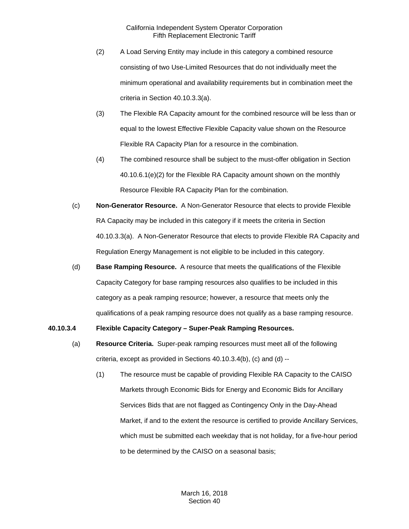- (2) A Load Serving Entity may include in this category a combined resource consisting of two Use-Limited Resources that do not individually meet the minimum operational and availability requirements but in combination meet the criteria in Section 40.10.3.3(a).
- (3) The Flexible RA Capacity amount for the combined resource will be less than or equal to the lowest Effective Flexible Capacity value shown on the Resource Flexible RA Capacity Plan for a resource in the combination.
- (4) The combined resource shall be subject to the must-offer obligation in Section 40.10.6.1(e)(2) for the Flexible RA Capacity amount shown on the monthly Resource Flexible RA Capacity Plan for the combination.
- (c) **Non-Generator Resource.** A Non-Generator Resource that elects to provide Flexible RA Capacity may be included in this category if it meets the criteria in Section 40.10.3.3(a). A Non-Generator Resource that elects to provide Flexible RA Capacity and Regulation Energy Management is not eligible to be included in this category.
- (d) **Base Ramping Resource.** A resource that meets the qualifications of the Flexible Capacity Category for base ramping resources also qualifies to be included in this category as a peak ramping resource; however, a resource that meets only the qualifications of a peak ramping resource does not qualify as a base ramping resource.

#### **40.10.3.4 Flexible Capacity Category – Super-Peak Ramping Resources.**

- (a) **Resource Criteria.** Super-peak ramping resources must meet all of the following criteria, except as provided in Sections 40.10.3.4(b), (c) and (d) --
	- (1) The resource must be capable of providing Flexible RA Capacity to the CAISO Markets through Economic Bids for Energy and Economic Bids for Ancillary Services Bids that are not flagged as Contingency Only in the Day-Ahead Market, if and to the extent the resource is certified to provide Ancillary Services, which must be submitted each weekday that is not holiday, for a five-hour period to be determined by the CAISO on a seasonal basis;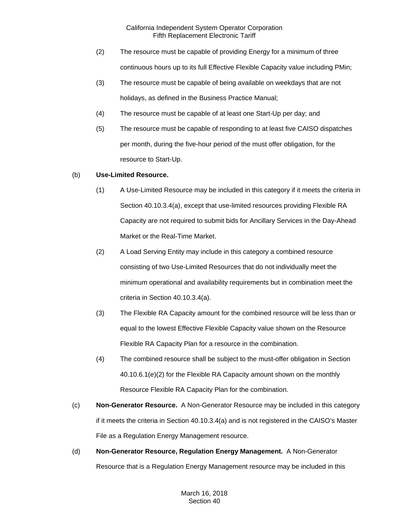- (2) The resource must be capable of providing Energy for a minimum of three continuous hours up to its full Effective Flexible Capacity value including PMin;
- (3) The resource must be capable of being available on weekdays that are not holidays, as defined in the Business Practice Manual;
- (4) The resource must be capable of at least one Start-Up per day; and
- (5) The resource must be capable of responding to at least five CAISO dispatches per month, during the five-hour period of the must offer obligation, for the resource to Start-Up.

## (b) **Use-Limited Resource.**

- (1) A Use-Limited Resource may be included in this category if it meets the criteria in Section 40.10.3.4(a), except that use-limited resources providing Flexible RA Capacity are not required to submit bids for Ancillary Services in the Day-Ahead Market or the Real-Time Market.
- (2) A Load Serving Entity may include in this category a combined resource consisting of two Use-Limited Resources that do not individually meet the minimum operational and availability requirements but in combination meet the criteria in Section 40.10.3.4(a).
- (3) The Flexible RA Capacity amount for the combined resource will be less than or equal to the lowest Effective Flexible Capacity value shown on the Resource Flexible RA Capacity Plan for a resource in the combination.
- (4) The combined resource shall be subject to the must-offer obligation in Section 40.10.6.1(e)(2) for the Flexible RA Capacity amount shown on the monthly Resource Flexible RA Capacity Plan for the combination.
- (c) **Non-Generator Resource.** A Non-Generator Resource may be included in this category if it meets the criteria in Section 40.10.3.4(a) and is not registered in the CAISO's Master File as a Regulation Energy Management resource.
- (d) **Non-Generator Resource, Regulation Energy Management.** A Non-Generator Resource that is a Regulation Energy Management resource may be included in this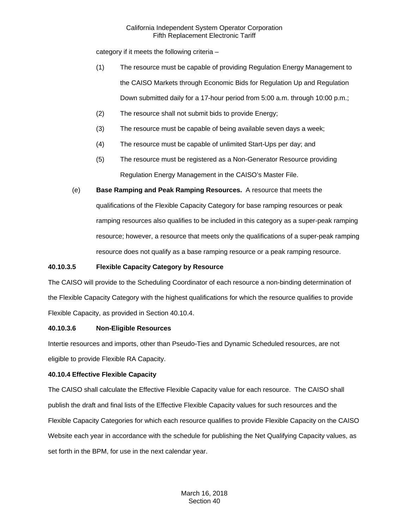category if it meets the following criteria –

- (1) The resource must be capable of providing Regulation Energy Management to the CAISO Markets through Economic Bids for Regulation Up and Regulation Down submitted daily for a 17-hour period from 5:00 a.m. through 10:00 p.m.;
- (2) The resource shall not submit bids to provide Energy;
- (3) The resource must be capable of being available seven days a week;
- (4) The resource must be capable of unlimited Start-Ups per day; and
- (5) The resource must be registered as a Non-Generator Resource providing Regulation Energy Management in the CAISO's Master File.
- (e) **Base Ramping and Peak Ramping Resources.** A resource that meets the qualifications of the Flexible Capacity Category for base ramping resources or peak ramping resources also qualifies to be included in this category as a super-peak ramping resource; however, a resource that meets only the qualifications of a super-peak ramping resource does not qualify as a base ramping resource or a peak ramping resource.

## **40.10.3.5 Flexible Capacity Category by Resource**

The CAISO will provide to the Scheduling Coordinator of each resource a non-binding determination of the Flexible Capacity Category with the highest qualifications for which the resource qualifies to provide Flexible Capacity, as provided in Section 40.10.4.

## **40.10.3.6 Non-Eligible Resources**

Intertie resources and imports, other than Pseudo-Ties and Dynamic Scheduled resources, are not eligible to provide Flexible RA Capacity.

## **40.10.4 Effective Flexible Capacity**

The CAISO shall calculate the Effective Flexible Capacity value for each resource. The CAISO shall publish the draft and final lists of the Effective Flexible Capacity values for such resources and the Flexible Capacity Categories for which each resource qualifies to provide Flexible Capacity on the CAISO Website each year in accordance with the schedule for publishing the Net Qualifying Capacity values, as set forth in the BPM, for use in the next calendar year.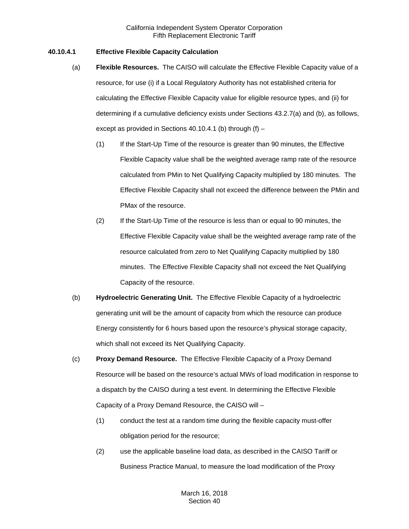### **40.10.4.1 Effective Flexible Capacity Calculation**

- (a) **Flexible Resources.** The CAISO will calculate the Effective Flexible Capacity value of a resource, for use (i) if a Local Regulatory Authority has not established criteria for calculating the Effective Flexible Capacity value for eligible resource types, and (ii) for determining if a cumulative deficiency exists under Sections 43.2.7(a) and (b), as follows, except as provided in Sections 40.10.4.1 (b) through  $(f)$  –
	- (1) If the Start-Up Time of the resource is greater than 90 minutes, the Effective Flexible Capacity value shall be the weighted average ramp rate of the resource calculated from PMin to Net Qualifying Capacity multiplied by 180 minutes. The Effective Flexible Capacity shall not exceed the difference between the PMin and PMax of the resource.
	- (2) If the Start-Up Time of the resource is less than or equal to 90 minutes, the Effective Flexible Capacity value shall be the weighted average ramp rate of the resource calculated from zero to Net Qualifying Capacity multiplied by 180 minutes. The Effective Flexible Capacity shall not exceed the Net Qualifying Capacity of the resource.
- (b) **Hydroelectric Generating Unit.** The Effective Flexible Capacity of a hydroelectric generating unit will be the amount of capacity from which the resource can produce Energy consistently for 6 hours based upon the resource's physical storage capacity, which shall not exceed its Net Qualifying Capacity.
- (c) **Proxy Demand Resource.** The Effective Flexible Capacity of a Proxy Demand Resource will be based on the resource's actual MWs of load modification in response to a dispatch by the CAISO during a test event. In determining the Effective Flexible Capacity of a Proxy Demand Resource, the CAISO will –
	- (1) conduct the test at a random time during the flexible capacity must-offer obligation period for the resource;
	- (2) use the applicable baseline load data, as described in the CAISO Tariff or Business Practice Manual, to measure the load modification of the Proxy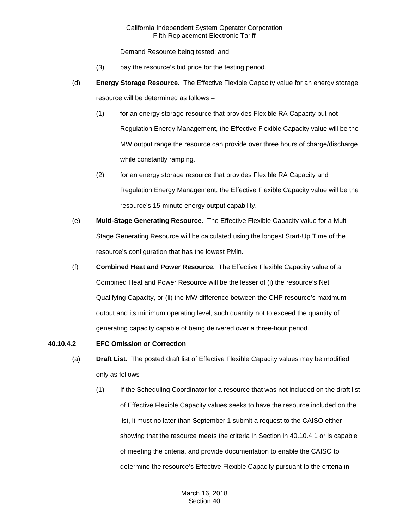Demand Resource being tested; and

- (3) pay the resource's bid price for the testing period.
- (d) **Energy Storage Resource.** The Effective Flexible Capacity value for an energy storage resource will be determined as follows –
	- (1) for an energy storage resource that provides Flexible RA Capacity but not Regulation Energy Management, the Effective Flexible Capacity value will be the MW output range the resource can provide over three hours of charge/discharge while constantly ramping.
	- (2) for an energy storage resource that provides Flexible RA Capacity and Regulation Energy Management, the Effective Flexible Capacity value will be the resource's 15-minute energy output capability.
- (e) **Multi-Stage Generating Resource.** The Effective Flexible Capacity value for a Multi-Stage Generating Resource will be calculated using the longest Start-Up Time of the resource's configuration that has the lowest PMin.
- (f) **Combined Heat and Power Resource.** The Effective Flexible Capacity value of a Combined Heat and Power Resource will be the lesser of (i) the resource's Net Qualifying Capacity, or (ii) the MW difference between the CHP resource's maximum output and its minimum operating level, such quantity not to exceed the quantity of generating capacity capable of being delivered over a three-hour period.

## **40.10.4.2 EFC Omission or Correction**

- (a) **Draft List.** The posted draft list of Effective Flexible Capacity values may be modified only as follows –
	- (1) If the Scheduling Coordinator for a resource that was not included on the draft list of Effective Flexible Capacity values seeks to have the resource included on the list, it must no later than September 1 submit a request to the CAISO either showing that the resource meets the criteria in Section in 40.10.4.1 or is capable of meeting the criteria, and provide documentation to enable the CAISO to determine the resource's Effective Flexible Capacity pursuant to the criteria in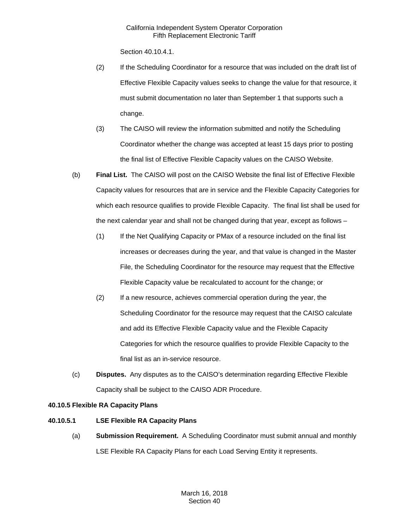Section 40.10.4.1.

- (2) If the Scheduling Coordinator for a resource that was included on the draft list of Effective Flexible Capacity values seeks to change the value for that resource, it must submit documentation no later than September 1 that supports such a change.
- (3) The CAISO will review the information submitted and notify the Scheduling Coordinator whether the change was accepted at least 15 days prior to posting the final list of Effective Flexible Capacity values on the CAISO Website.
- (b) **Final List.** The CAISO will post on the CAISO Website the final list of Effective Flexible Capacity values for resources that are in service and the Flexible Capacity Categories for which each resource qualifies to provide Flexible Capacity. The final list shall be used for the next calendar year and shall not be changed during that year, except as follows –
	- (1) If the Net Qualifying Capacity or PMax of a resource included on the final list increases or decreases during the year, and that value is changed in the Master File, the Scheduling Coordinator for the resource may request that the Effective Flexible Capacity value be recalculated to account for the change; or
	- (2) If a new resource, achieves commercial operation during the year, the Scheduling Coordinator for the resource may request that the CAISO calculate and add its Effective Flexible Capacity value and the Flexible Capacity Categories for which the resource qualifies to provide Flexible Capacity to the final list as an in-service resource.
- (c) **Disputes.** Any disputes as to the CAISO's determination regarding Effective Flexible Capacity shall be subject to the CAISO ADR Procedure.

# **40.10.5 Flexible RA Capacity Plans**

## **40.10.5.1 LSE Flexible RA Capacity Plans**

(a) **Submission Requirement.** A Scheduling Coordinator must submit annual and monthly LSE Flexible RA Capacity Plans for each Load Serving Entity it represents.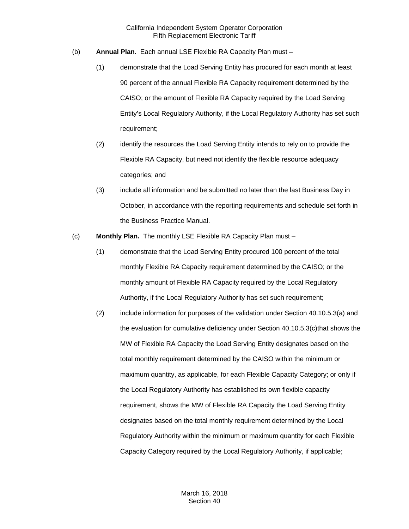- (b) **Annual Plan.** Each annual LSE Flexible RA Capacity Plan must
	- (1) demonstrate that the Load Serving Entity has procured for each month at least 90 percent of the annual Flexible RA Capacity requirement determined by the CAISO; or the amount of Flexible RA Capacity required by the Load Serving Entity's Local Regulatory Authority, if the Local Regulatory Authority has set such requirement;
	- (2) identify the resources the Load Serving Entity intends to rely on to provide the Flexible RA Capacity, but need not identify the flexible resource adequacy categories; and
	- (3) include all information and be submitted no later than the last Business Day in October, in accordance with the reporting requirements and schedule set forth in the Business Practice Manual.
- (c) **Monthly Plan.** The monthly LSE Flexible RA Capacity Plan must
	- (1) demonstrate that the Load Serving Entity procured 100 percent of the total monthly Flexible RA Capacity requirement determined by the CAISO; or the monthly amount of Flexible RA Capacity required by the Local Regulatory Authority, if the Local Regulatory Authority has set such requirement;
	- (2) include information for purposes of the validation under Section 40.10.5.3(a) and the evaluation for cumulative deficiency under Section 40.10.5.3(c)that shows the MW of Flexible RA Capacity the Load Serving Entity designates based on the total monthly requirement determined by the CAISO within the minimum or maximum quantity, as applicable, for each Flexible Capacity Category; or only if the Local Regulatory Authority has established its own flexible capacity requirement, shows the MW of Flexible RA Capacity the Load Serving Entity designates based on the total monthly requirement determined by the Local Regulatory Authority within the minimum or maximum quantity for each Flexible Capacity Category required by the Local Regulatory Authority, if applicable;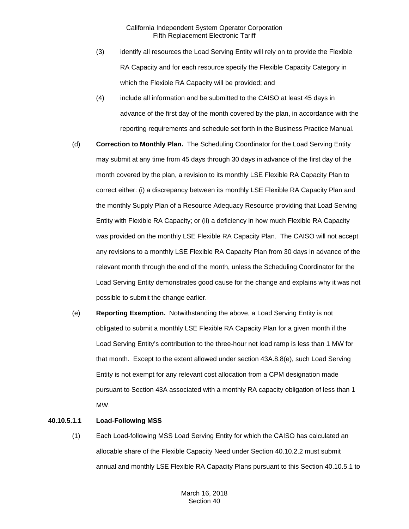- (3) identify all resources the Load Serving Entity will rely on to provide the Flexible RA Capacity and for each resource specify the Flexible Capacity Category in which the Flexible RA Capacity will be provided; and
- (4) include all information and be submitted to the CAISO at least 45 days in advance of the first day of the month covered by the plan, in accordance with the reporting requirements and schedule set forth in the Business Practice Manual.
- (d) **Correction to Monthly Plan.** The Scheduling Coordinator for the Load Serving Entity may submit at any time from 45 days through 30 days in advance of the first day of the month covered by the plan, a revision to its monthly LSE Flexible RA Capacity Plan to correct either: (i) a discrepancy between its monthly LSE Flexible RA Capacity Plan and the monthly Supply Plan of a Resource Adequacy Resource providing that Load Serving Entity with Flexible RA Capacity; or (ii) a deficiency in how much Flexible RA Capacity was provided on the monthly LSE Flexible RA Capacity Plan. The CAISO will not accept any revisions to a monthly LSE Flexible RA Capacity Plan from 30 days in advance of the relevant month through the end of the month, unless the Scheduling Coordinator for the Load Serving Entity demonstrates good cause for the change and explains why it was not possible to submit the change earlier.
- (e) **Reporting Exemption.** Notwithstanding the above, a Load Serving Entity is not obligated to submit a monthly LSE Flexible RA Capacity Plan for a given month if the Load Serving Entity's contribution to the three-hour net load ramp is less than 1 MW for that month. Except to the extent allowed under section 43A.8.8(e), such Load Serving Entity is not exempt for any relevant cost allocation from a CPM designation made pursuant to Section 43A associated with a monthly RA capacity obligation of less than 1 MW.

#### **40.10.5.1.1 Load-Following MSS**

(1) Each Load-following MSS Load Serving Entity for which the CAISO has calculated an allocable share of the Flexible Capacity Need under Section 40.10.2.2 must submit annual and monthly LSE Flexible RA Capacity Plans pursuant to this Section 40.10.5.1 to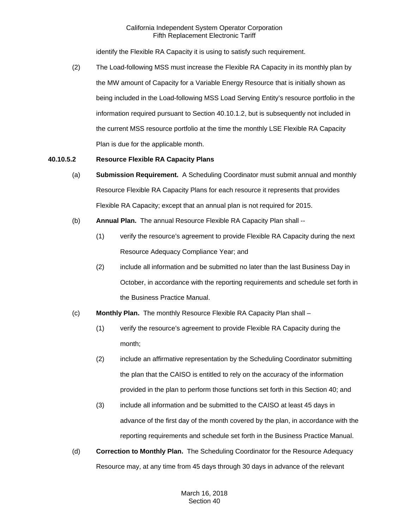identify the Flexible RA Capacity it is using to satisfy such requirement.

(2) The Load-following MSS must increase the Flexible RA Capacity in its monthly plan by the MW amount of Capacity for a Variable Energy Resource that is initially shown as being included in the Load-following MSS Load Serving Entity's resource portfolio in the information required pursuant to Section 40.10.1.2, but is subsequently not included in the current MSS resource portfolio at the time the monthly LSE Flexible RA Capacity Plan is due for the applicable month.

## **40.10.5.2 Resource Flexible RA Capacity Plans**

- (a) **Submission Requirement.** A Scheduling Coordinator must submit annual and monthly Resource Flexible RA Capacity Plans for each resource it represents that provides Flexible RA Capacity; except that an annual plan is not required for 2015.
- (b) **Annual Plan.** The annual Resource Flexible RA Capacity Plan shall --
	- (1) verify the resource's agreement to provide Flexible RA Capacity during the next Resource Adequacy Compliance Year; and
	- (2) include all information and be submitted no later than the last Business Day in October, in accordance with the reporting requirements and schedule set forth in the Business Practice Manual.
- (c) **Monthly Plan.** The monthly Resource Flexible RA Capacity Plan shall
	- (1) verify the resource's agreement to provide Flexible RA Capacity during the month;
	- (2) include an affirmative representation by the Scheduling Coordinator submitting the plan that the CAISO is entitled to rely on the accuracy of the information provided in the plan to perform those functions set forth in this Section 40; and
	- (3) include all information and be submitted to the CAISO at least 45 days in advance of the first day of the month covered by the plan, in accordance with the reporting requirements and schedule set forth in the Business Practice Manual.
- (d) **Correction to Monthly Plan.** The Scheduling Coordinator for the Resource Adequacy Resource may, at any time from 45 days through 30 days in advance of the relevant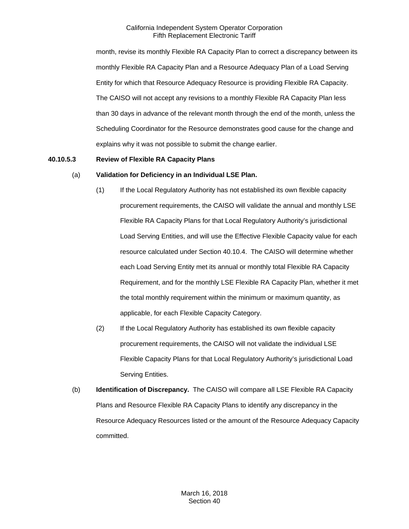month, revise its monthly Flexible RA Capacity Plan to correct a discrepancy between its monthly Flexible RA Capacity Plan and a Resource Adequacy Plan of a Load Serving Entity for which that Resource Adequacy Resource is providing Flexible RA Capacity. The CAISO will not accept any revisions to a monthly Flexible RA Capacity Plan less than 30 days in advance of the relevant month through the end of the month, unless the Scheduling Coordinator for the Resource demonstrates good cause for the change and explains why it was not possible to submit the change earlier.

# **40.10.5.3 Review of Flexible RA Capacity Plans**

#### (a) **Validation for Deficiency in an Individual LSE Plan.**

- (1) If the Local Regulatory Authority has not established its own flexible capacity procurement requirements, the CAISO will validate the annual and monthly LSE Flexible RA Capacity Plans for that Local Regulatory Authority's jurisdictional Load Serving Entities, and will use the Effective Flexible Capacity value for each resource calculated under Section 40.10.4. The CAISO will determine whether each Load Serving Entity met its annual or monthly total Flexible RA Capacity Requirement, and for the monthly LSE Flexible RA Capacity Plan, whether it met the total monthly requirement within the minimum or maximum quantity, as applicable, for each Flexible Capacity Category.
- (2) If the Local Regulatory Authority has established its own flexible capacity procurement requirements, the CAISO will not validate the individual LSE Flexible Capacity Plans for that Local Regulatory Authority's jurisdictional Load Serving Entities.
- (b) **Identification of Discrepancy.** The CAISO will compare all LSE Flexible RA Capacity Plans and Resource Flexible RA Capacity Plans to identify any discrepancy in the Resource Adequacy Resources listed or the amount of the Resource Adequacy Capacity committed.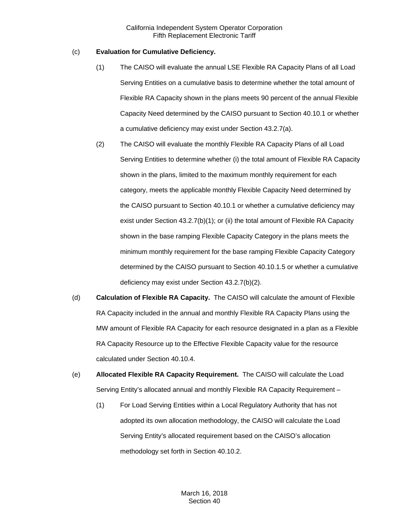### (c) **Evaluation for Cumulative Deficiency.**

- (1) The CAISO will evaluate the annual LSE Flexible RA Capacity Plans of all Load Serving Entities on a cumulative basis to determine whether the total amount of Flexible RA Capacity shown in the plans meets 90 percent of the annual Flexible Capacity Need determined by the CAISO pursuant to Section 40.10.1 or whether a cumulative deficiency may exist under Section 43.2.7(a).
- (2) The CAISO will evaluate the monthly Flexible RA Capacity Plans of all Load Serving Entities to determine whether (i) the total amount of Flexible RA Capacity shown in the plans, limited to the maximum monthly requirement for each category, meets the applicable monthly Flexible Capacity Need determined by the CAISO pursuant to Section 40.10.1 or whether a cumulative deficiency may exist under Section 43.2.7(b)(1); or (ii) the total amount of Flexible RA Capacity shown in the base ramping Flexible Capacity Category in the plans meets the minimum monthly requirement for the base ramping Flexible Capacity Category determined by the CAISO pursuant to Section 40.10.1.5 or whether a cumulative deficiency may exist under Section 43.2.7(b)(2).
- (d) **Calculation of Flexible RA Capacity.** The CAISO will calculate the amount of Flexible RA Capacity included in the annual and monthly Flexible RA Capacity Plans using the MW amount of Flexible RA Capacity for each resource designated in a plan as a Flexible RA Capacity Resource up to the Effective Flexible Capacity value for the resource calculated under Section 40.10.4.
- (e) **Allocated Flexible RA Capacity Requirement.** The CAISO will calculate the Load Serving Entity's allocated annual and monthly Flexible RA Capacity Requirement –
	- (1) For Load Serving Entities within a Local Regulatory Authority that has not adopted its own allocation methodology, the CAISO will calculate the Load Serving Entity's allocated requirement based on the CAISO's allocation methodology set forth in Section 40.10.2.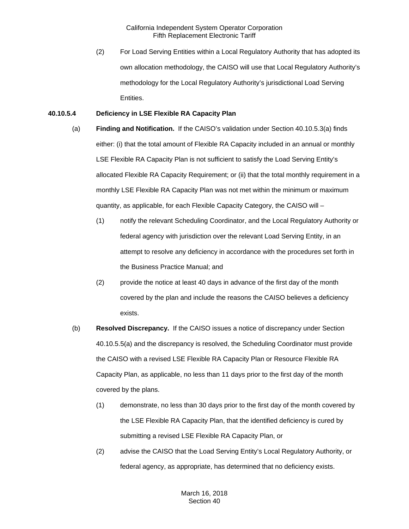(2) For Load Serving Entities within a Local Regulatory Authority that has adopted its own allocation methodology, the CAISO will use that Local Regulatory Authority's methodology for the Local Regulatory Authority's jurisdictional Load Serving Entities.

### **40.10.5.4 Deficiency in LSE Flexible RA Capacity Plan**

- (a) **Finding and Notification.** If the CAISO's validation under Section 40.10.5.3(a) finds either: (i) that the total amount of Flexible RA Capacity included in an annual or monthly LSE Flexible RA Capacity Plan is not sufficient to satisfy the Load Serving Entity's allocated Flexible RA Capacity Requirement; or (ii) that the total monthly requirement in a monthly LSE Flexible RA Capacity Plan was not met within the minimum or maximum quantity, as applicable, for each Flexible Capacity Category, the CAISO will –
	- (1) notify the relevant Scheduling Coordinator, and the Local Regulatory Authority or federal agency with jurisdiction over the relevant Load Serving Entity, in an attempt to resolve any deficiency in accordance with the procedures set forth in the Business Practice Manual; and
	- (2) provide the notice at least 40 days in advance of the first day of the month covered by the plan and include the reasons the CAISO believes a deficiency exists.
- (b) **Resolved Discrepancy.** If the CAISO issues a notice of discrepancy under Section 40.10.5.5(a) and the discrepancy is resolved, the Scheduling Coordinator must provide the CAISO with a revised LSE Flexible RA Capacity Plan or Resource Flexible RA Capacity Plan, as applicable, no less than 11 days prior to the first day of the month covered by the plans.
	- (1) demonstrate, no less than 30 days prior to the first day of the month covered by the LSE Flexible RA Capacity Plan, that the identified deficiency is cured by submitting a revised LSE Flexible RA Capacity Plan, or
	- (2) advise the CAISO that the Load Serving Entity's Local Regulatory Authority, or federal agency, as appropriate, has determined that no deficiency exists.